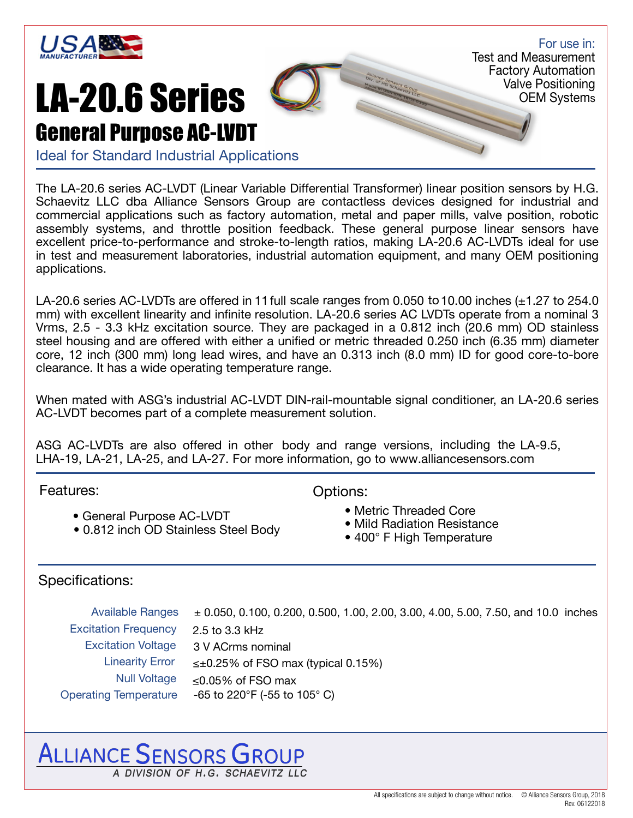

### LA-20.6 Series General Purpose AC-LVDT

For use in: Test and Measurement Factory Automation Valve Positioning OEM Systems

Ideal for Standard Industrial Applications

The LA-20.6 series AC-LVDT (Linear Variable Differential Transformer) linear position sensors by H.G. Schaevitz LLC dba Alliance Sensors Group are contactless devices designed for industrial and commercial applications such as factory automation, metal and paper mills, valve position, robotic assembly systems, and throttle position feedback. These general purpose linear sensors have excellent price-to-performance and stroke-to-length ratios, making LA-20.6 AC-LVDTs ideal for use in test and measurement laboratories, industrial automation equipment, and many OEM positioning applications.

LA-20.6 series AC-LVDTs are offered in 11 full scale ranges from 0.050 to 10.00 inches  $(\pm 1.27 \text{ to } 254.0$ mm) with excellent linearity and infinite resolution. LA-20.6 series AC LVDTs operate from a nominal 3 Vrms, 2.5 - 3.3 kHz excitation source. They are packaged in a 0.812 inch (20.6 mm) OD stainless steel housing and are offered with either a unified or metric threaded 0.250 inch (6.35 mm) diameter core, 12 inch (300 mm) long lead wires, and have an 0.313 inch (8.0 mm) ID for good core-to-bore clearance. It has a wide operating temperature range.

When mated with ASG's industrial AC-LVDT DIN-rail-mountable signal conditioner, an LA-20.6 series AC-LVDT becomes part of a complete measurement solution.

ASG AC-LVDTs are also offered in other body and range versions, including the LA-9.5, LHA-19, LA-21, LA-25, and LA-27. For more information, go to www.alliancesensors.com

Features: Continued by Continued Base of Continued Base of Continued Base of Continued Base of Continued Base of Continued Base of Continued Base of Continued Base of Continued Base of Continued Base of Continued Base of C

- General Purpose AC-LVDT<br>• Mild Radiation Resistance Mild Radiation Resistance
- 0.812 inch OD Stainless Steel Body

- 
- 
- 400° F High Temperature

### Specifications:

 Available Ranges Excitation Frequency Excitation Voltage Linearity Error 2.5 to 3.3 kHz 3 V ACrms nominal  $\leq \pm 0.25\%$  of FSO max (typical 0.15%) Null Voltage ≤0.05% of FSO max Operating Temperature -65 to 220°F (-55 to 105° C)  $\pm$  0.050, 0.100, 0.200, 0.500, 1.00, 2.00, 3.00, 4.00, 5.00, 7.50, and 10.0 inches

## ALLIANCE SENSORS GROUP